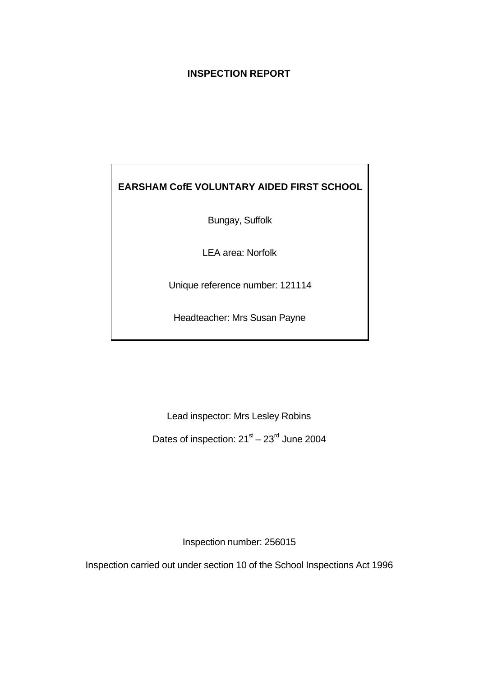## **INSPECTION REPORT**

# **EARSHAM CofE VOLUNTARY AIDED FIRST SCHOOL**

Bungay, Suffolk

LEA area: Norfolk

Unique reference number: 121114

Headteacher: Mrs Susan Payne

Lead inspector: Mrs Lesley Robins

Dates of inspection: 21 $\mathrm{^{\text{st}}-23}^{\text{rd}}$  June 2004

Inspection number: 256015

Inspection carried out under section 10 of the School Inspections Act 1996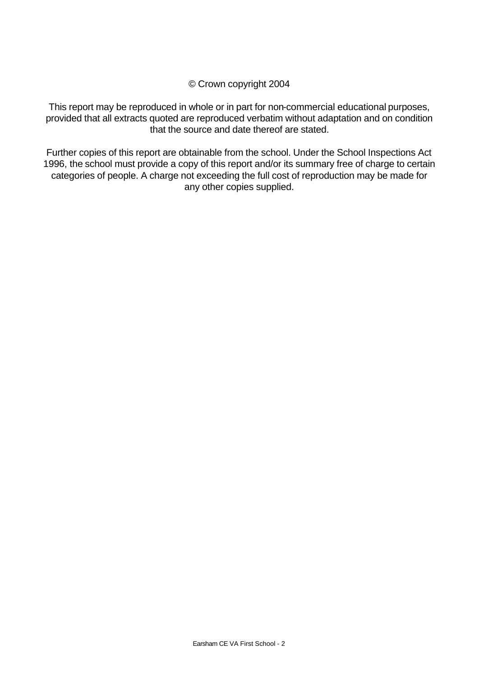© Crown copyright 2004

This report may be reproduced in whole or in part for non-commercial educational purposes, provided that all extracts quoted are reproduced verbatim without adaptation and on condition that the source and date thereof are stated.

Further copies of this report are obtainable from the school. Under the School Inspections Act 1996, the school must provide a copy of this report and/or its summary free of charge to certain categories of people. A charge not exceeding the full cost of reproduction may be made for any other copies supplied.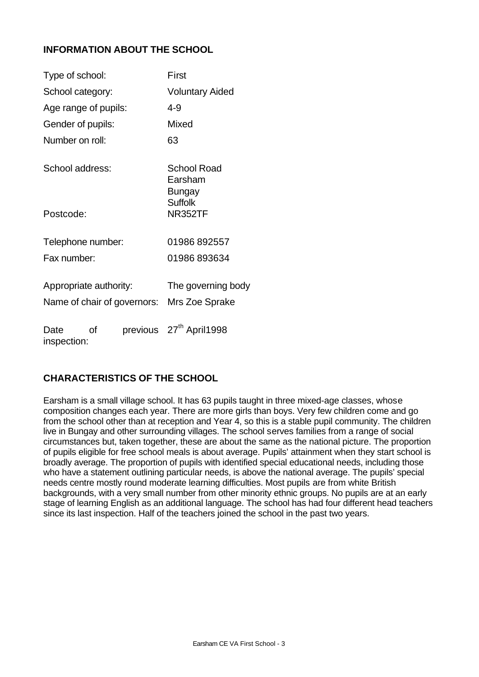## **INFORMATION ABOUT THE SCHOOL**

| Type of school:                                       |    | First |                                         |  |
|-------------------------------------------------------|----|-------|-----------------------------------------|--|
| School category:                                      |    |       | <b>Voluntary Aided</b>                  |  |
| Age range of pupils:                                  |    |       | $4 - 9$                                 |  |
| Gender of pupils:                                     |    |       | <b>Mixed</b>                            |  |
| Number on roll:                                       |    |       | 63                                      |  |
| School address:                                       |    |       | <b>School Road</b><br>Earsham<br>Bungay |  |
| Postcode:                                             |    |       | <b>Suffolk</b><br><b>NR352TF</b>        |  |
| Telephone number:                                     |    |       | 01986 892557                            |  |
| Fax number:                                           |    |       | 01986893634                             |  |
| Appropriate authority:<br>Name of chair of governors: |    |       | The governing body<br>Mrs Zoe Sprake    |  |
| Date<br>inspection:                                   | Ωf |       | previous 27 <sup>th</sup> April1998     |  |

## **CHARACTERISTICS OF THE SCHOOL**

Earsham is a small village school. It has 63 pupils taught in three mixed-age classes, whose composition changes each year. There are more girls than boys. Very few children come and go from the school other than at reception and Year 4, so this is a stable pupil community. The children live in Bungay and other surrounding villages. The school serves families from a range of social circumstances but, taken together, these are about the same as the national picture. The proportion of pupils eligible for free school meals is about average. Pupils' attainment when they start school is broadly average. The proportion of pupils with identified special educational needs, including those who have a statement outlining particular needs, is above the national average. The pupils' special needs centre mostly round moderate learning difficulties. Most pupils are from white British backgrounds, with a very small number from other minority ethnic groups. No pupils are at an early stage of learning English as an additional language. The school has had four different head teachers since its last inspection. Half of the teachers joined the school in the past two years.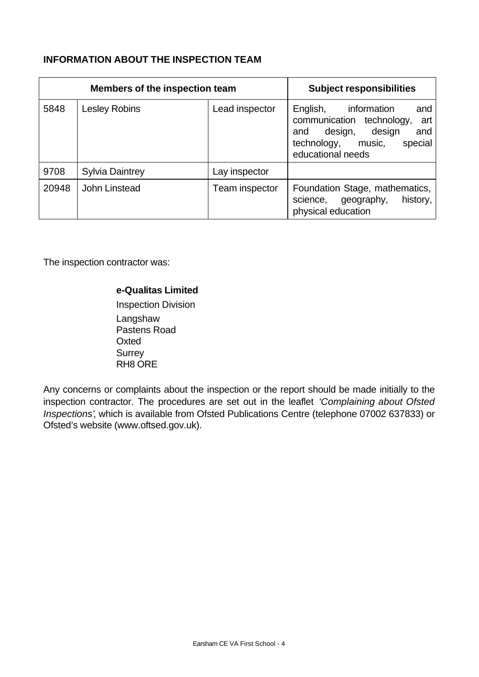## **INFORMATION ABOUT THE INSPECTION TEAM**

| Members of the inspection team |                        | <b>Subject responsibilities</b> |                                                                                                                                                             |
|--------------------------------|------------------------|---------------------------------|-------------------------------------------------------------------------------------------------------------------------------------------------------------|
| 5848                           | Lesley Robins          | Lead inspector                  | information<br>English,<br>and<br>communication technology,<br>art<br>design,<br>design<br>and<br>and<br>special<br>technology, music,<br>educational needs |
| 9708                           | <b>Sylvia Daintrey</b> | Lay inspector                   |                                                                                                                                                             |
| 20948                          | John Linstead          | Team inspector                  | Foundation Stage, mathematics,<br>science, geography,<br>history,<br>physical education                                                                     |

The inspection contractor was:

## **e-Qualitas Limited**

Inspection Division Langshaw Pastens Road **Oxted Surrey** RH8 ORE

Any concerns or complaints about the inspection or the report should be made initially to the inspection contractor. The procedures are set out in the leaflet *'Complaining about Ofsted Inspections'*, which is available from Ofsted Publications Centre (telephone 07002 637833) or Ofsted's website (www.oftsed.gov.uk).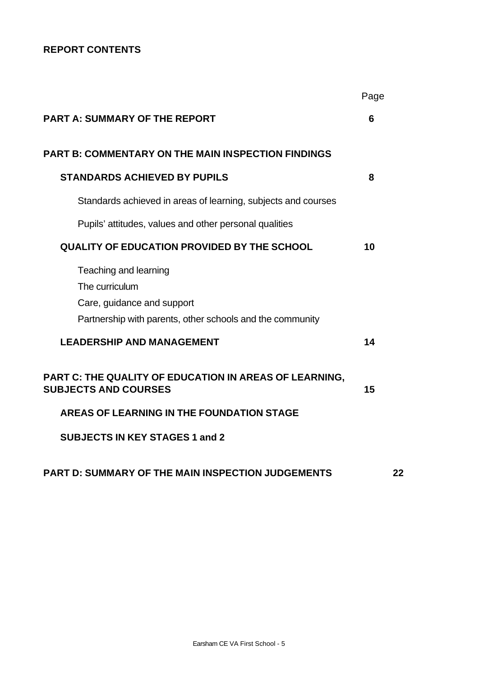## **REPORT CONTENTS**

|                                                                                                                                    | Page |    |
|------------------------------------------------------------------------------------------------------------------------------------|------|----|
| <b>PART A: SUMMARY OF THE REPORT</b>                                                                                               | 6    |    |
| <b>PART B: COMMENTARY ON THE MAIN INSPECTION FINDINGS</b>                                                                          |      |    |
| <b>STANDARDS ACHIEVED BY PUPILS</b>                                                                                                | 8    |    |
| Standards achieved in areas of learning, subjects and courses                                                                      |      |    |
| Pupils' attitudes, values and other personal qualities                                                                             |      |    |
| <b>QUALITY OF EDUCATION PROVIDED BY THE SCHOOL</b>                                                                                 | 10   |    |
| Teaching and learning<br>The curriculum<br>Care, guidance and support<br>Partnership with parents, other schools and the community |      |    |
| <b>LEADERSHIP AND MANAGEMENT</b>                                                                                                   | 14   |    |
| PART C: THE QUALITY OF EDUCATION IN AREAS OF LEARNING,<br><b>SUBJECTS AND COURSES</b>                                              | 15   |    |
| AREAS OF LEARNING IN THE FOUNDATION STAGE                                                                                          |      |    |
| <b>SUBJECTS IN KEY STAGES 1 and 2</b>                                                                                              |      |    |
| <b>PART D: SUMMARY OF THE MAIN INSPECTION JUDGEMENTS</b>                                                                           |      | 22 |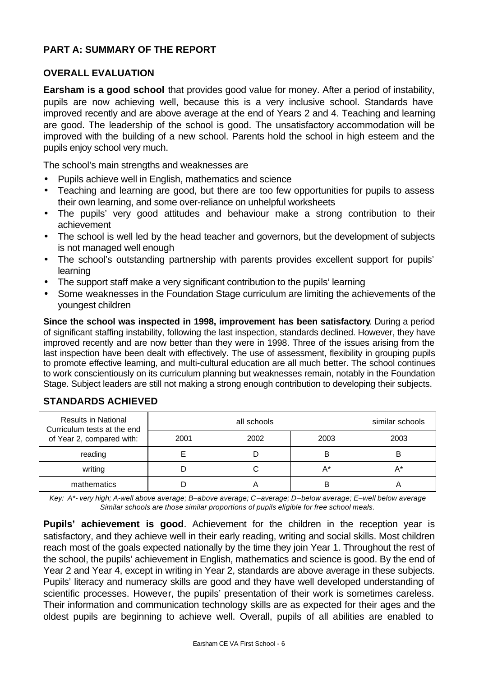## **PART A: SUMMARY OF THE REPORT**

### **OVERALL EVALUATION**

**Earsham is a good school** that provides good value for money. After a period of instability, pupils are now achieving well, because this is a very inclusive school. Standards have improved recently and are above average at the end of Years 2 and 4. Teaching and learning are good. The leadership of the school is good. The unsatisfactory accommodation will be improved with the building of a new school. Parents hold the school in high esteem and the pupils enjoy school very much.

The school's main strengths and weaknesses are

- Pupils achieve well in English, mathematics and science
- Teaching and learning are good, but there are too few opportunities for pupils to assess their own learning, and some over-reliance on unhelpful worksheets
- The pupils' very good attitudes and behaviour make a strong contribution to their achievement
- The school is well led by the head teacher and governors, but the development of subjects is not managed well enough
- The school's outstanding partnership with parents provides excellent support for pupils' learning
- The support staff make a very significant contribution to the pupils' learning
- Some weaknesses in the Foundation Stage curriculum are limiting the achievements of the youngest children

**Since the school was inspected in 1998, improvement has been satisfactory**. During a period of significant staffing instability, following the last inspection, standards declined. However, they have improved recently and are now better than they were in 1998. Three of the issues arising from the last inspection have been dealt with effectively. The use of assessment, flexibility in grouping pupils to promote effective learning, and multi-cultural education are all much better. The school continues to work conscientiously on its curriculum planning but weaknesses remain, notably in the Foundation Stage. Subject leaders are still not making a strong enough contribution to developing their subjects.

| <b>Results in National</b><br>Curriculum tests at the end |      | similar schools |       |      |
|-----------------------------------------------------------|------|-----------------|-------|------|
| of Year 2, compared with:                                 | 2001 | 2002            | 2003  | 2003 |
| reading                                                   |      |                 | B     | B    |
| writing                                                   |      |                 | $A^*$ |      |
| mathematics                                               |      |                 | B     |      |

## **STANDARDS ACHIEVED**

*Key: A\*- very high; A-well above average; B–above average; C–average; D–below average; E–well below average Similar schools are those similar proportions of pupils eligible for free school meals.*

**Pupils' achievement is good**. Achievement for the children in the reception year is satisfactory, and they achieve well in their early reading, writing and social skills. Most children reach most of the goals expected nationally by the time they join Year 1. Throughout the rest of the school, the pupils' achievement in English, mathematics and science is good. By the end of Year 2 and Year 4, except in writing in Year 2, standards are above average in these subjects. Pupils' literacy and numeracy skills are good and they have well developed understanding of scientific processes. However, the pupils' presentation of their work is sometimes careless. Their information and communication technology skills are as expected for their ages and the oldest pupils are beginning to achieve well. Overall, pupils of all abilities are enabled to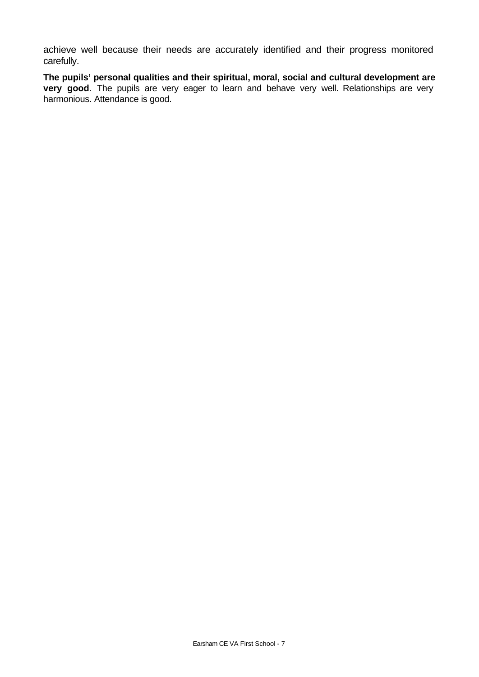achieve well because their needs are accurately identified and their progress monitored carefully.

**The pupils' personal qualities and their spiritual, moral, social and cultural development are very good**. The pupils are very eager to learn and behave very well. Relationships are very harmonious. Attendance is good.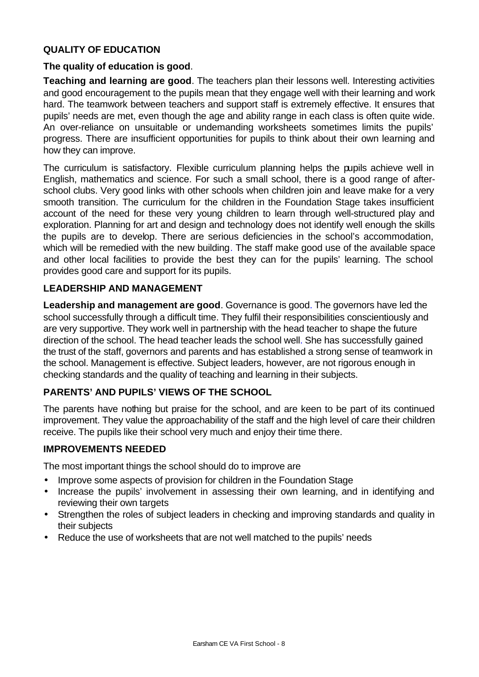## **QUALITY OF EDUCATION**

#### **The quality of education is good**.

**Teaching and learning are good**. The teachers plan their lessons well. Interesting activities and good encouragement to the pupils mean that they engage well with their learning and work hard. The teamwork between teachers and support staff is extremely effective. It ensures that pupils' needs are met, even though the age and ability range in each class is often quite wide. An over-reliance on unsuitable or undemanding worksheets sometimes limits the pupils' progress. There are insufficient opportunities for pupils to think about their own learning and how they can improve.

The curriculum is satisfactory. Flexible curriculum planning helps the pupils achieve well in English, mathematics and science. For such a small school, there is a good range of afterschool clubs. Very good links with other schools when children join and leave make for a very smooth transition. The curriculum for the children in the Foundation Stage takes insufficient account of the need for these very young children to learn through well-structured play and exploration. Planning for art and design and technology does not identify well enough the skills the pupils are to develop. There are serious deficiencies in the school's accommodation, which will be remedied with the new building. The staff make good use of the available space and other local facilities to provide the best they can for the pupils' learning. The school provides good care and support for its pupils.

### **LEADERSHIP AND MANAGEMENT**

**Leadership and management are good**. Governance is good. The governors have led the school successfully through a difficult time. They fulfil their responsibilities conscientiously and are very supportive. They work well in partnership with the head teacher to shape the future direction of the school. The head teacher leads the school well. She has successfully gained the trust of the staff, governors and parents and has established a strong sense of teamwork in the school. Management is effective. Subject leaders, however, are not rigorous enough in checking standards and the quality of teaching and learning in their subjects.

## **PARENTS' AND PUPILS' VIEWS OF THE SCHOOL**

The parents have nothing but praise for the school, and are keen to be part of its continued improvement. They value the approachability of the staff and the high level of care their children receive. The pupils like their school very much and enjoy their time there.

#### **IMPROVEMENTS NEEDED**

The most important things the school should do to improve are

- Improve some aspects of provision for children in the Foundation Stage
- Increase the pupils' involvement in assessing their own learning, and in identifying and reviewing their own targets
- Strengthen the roles of subject leaders in checking and improving standards and quality in their subjects
- Reduce the use of worksheets that are not well matched to the pupils' needs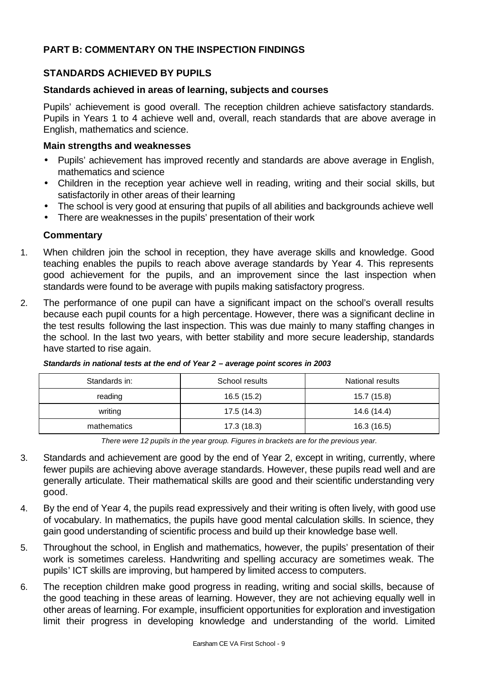## **PART B: COMMENTARY ON THE INSPECTION FINDINGS**

## **STANDARDS ACHIEVED BY PUPILS**

#### **Standards achieved in areas of learning, subjects and courses**

Pupils' achievement is good overall. The reception children achieve satisfactory standards. Pupils in Years 1 to 4 achieve well and, overall, reach standards that are above average in English, mathematics and science.

#### **Main strengths and weaknesses**

- Pupils' achievement has improved recently and standards are above average in English, mathematics and science
- Children in the reception year achieve well in reading, writing and their social skills, but satisfactorily in other areas of their learning
- The school is very good at ensuring that pupils of all abilities and backgrounds achieve well
- There are weaknesses in the pupils' presentation of their work

### **Commentary**

- 1. When children join the school in reception, they have average skills and knowledge. Good teaching enables the pupils to reach above average standards by Year 4. This represents good achievement for the pupils, and an improvement since the last inspection when standards were found to be average with pupils making satisfactory progress.
- 2. The performance of one pupil can have a significant impact on the school's overall results because each pupil counts for a high percentage. However, there was a significant decline in the test results following the last inspection. This was due mainly to many staffing changes in the school. In the last two years, with better stability and more secure leadership, standards have started to rise again.

| Standards in: | School results | National results |
|---------------|----------------|------------------|
| reading       | 16.5 (15.2)    | 15.7 (15.8)      |
| writing       | 17.5 (14.3)    | 14.6 (14.4)      |
| mathematics   | 17.3(18.3)     | 16.3(16.5)       |

*Standards in national tests at the end of Year 2 – average point scores in 2003*

*There were 12 pupils in the year group. Figures in brackets are for the previous year.*

- 3. Standards and achievement are good by the end of Year 2, except in writing, currently, where fewer pupils are achieving above average standards. However, these pupils read well and are generally articulate. Their mathematical skills are good and their scientific understanding very good.
- 4. By the end of Year 4, the pupils read expressively and their writing is often lively, with good use of vocabulary. In mathematics, the pupils have good mental calculation skills. In science, they gain good understanding of scientific process and build up their knowledge base well.
- 5. Throughout the school, in English and mathematics, however, the pupils' presentation of their work is sometimes careless. Handwriting and spelling accuracy are sometimes weak. The pupils' ICT skills are improving, but hampered by limited access to computers.
- 6. The reception children make good progress in reading, writing and social skills, because of the good teaching in these areas of learning. However, they are not achieving equally well in other areas of learning. For example, insufficient opportunities for exploration and investigation limit their progress in developing knowledge and understanding of the world. Limited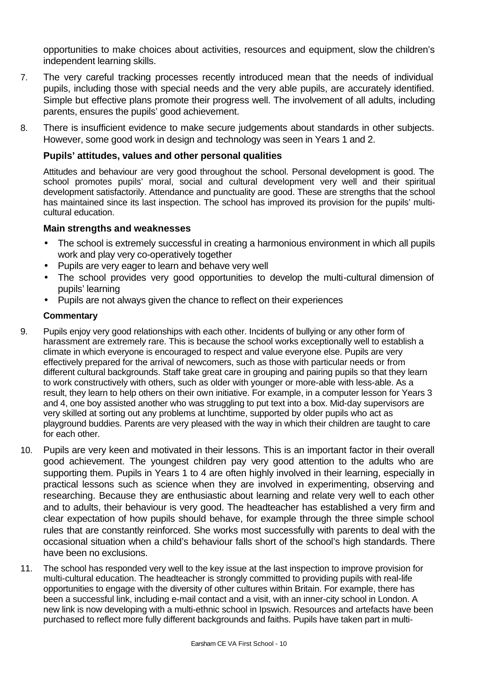opportunities to make choices about activities, resources and equipment, slow the children's independent learning skills.

- 7. The very careful tracking processes recently introduced mean that the needs of individual pupils, including those with special needs and the very able pupils, are accurately identified. Simple but effective plans promote their progress well. The involvement of all adults, including parents, ensures the pupils' good achievement.
- 8. There is insufficient evidence to make secure judgements about standards in other subjects. However, some good work in design and technology was seen in Years 1 and 2.

### **Pupils' attitudes, values and other personal qualities**

Attitudes and behaviour are very good throughout the school. Personal development is good. The school promotes pupils' moral, social and cultural development very well and their spiritual development satisfactorily. Attendance and punctuality are good. These are strengths that the school has maintained since its last inspection. The school has improved its provision for the pupils' multicultural education.

#### **Main strengths and weaknesses**

- The school is extremely successful in creating a harmonious environment in which all pupils work and play very co-operatively together
- Pupils are very eager to learn and behave very well
- The school provides very good opportunities to develop the multi-cultural dimension of pupils' learning
- Pupils are not always given the chance to reflect on their experiences

- 9. Pupils enjoy very good relationships with each other. Incidents of bullying or any other form of harassment are extremely rare. This is because the school works exceptionally well to establish a climate in which everyone is encouraged to respect and value everyone else. Pupils are very effectively prepared for the arrival of newcomers, such as those with particular needs or from different cultural backgrounds. Staff take great care in grouping and pairing pupils so that they learn to work constructively with others, such as older with younger or more-able with less-able. As a result, they learn to help others on their own initiative. For example, in a computer lesson for Years 3 and 4, one boy assisted another who was struggling to put text into a box. Mid-day supervisors are very skilled at sorting out any problems at lunchtime, supported by older pupils who act as playground buddies. Parents are very pleased with the way in which their children are taught to care for each other.
- 10. Pupils are very keen and motivated in their lessons. This is an important factor in their overall good achievement. The youngest children pay very good attention to the adults who are supporting them. Pupils in Years 1 to 4 are often highly involved in their learning, especially in practical lessons such as science when they are involved in experimenting, observing and researching. Because they are enthusiastic about learning and relate very well to each other and to adults, their behaviour is very good. The headteacher has established a very firm and clear expectation of how pupils should behave, for example through the three simple school rules that are constantly reinforced. She works most successfully with parents to deal with the occasional situation when a child's behaviour falls short of the school's high standards. There have been no exclusions.
- 11. The school has responded very well to the key issue at the last inspection to improve provision for multi-cultural education. The headteacher is strongly committed to providing pupils with real-life opportunities to engage with the diversity of other cultures within Britain. For example, there has been a successful link, including e-mail contact and a visit, with an inner-city school in London. A new link is now developing with a multi-ethnic school in Ipswich. Resources and artefacts have been purchased to reflect more fully different backgrounds and faiths. Pupils have taken part in multi-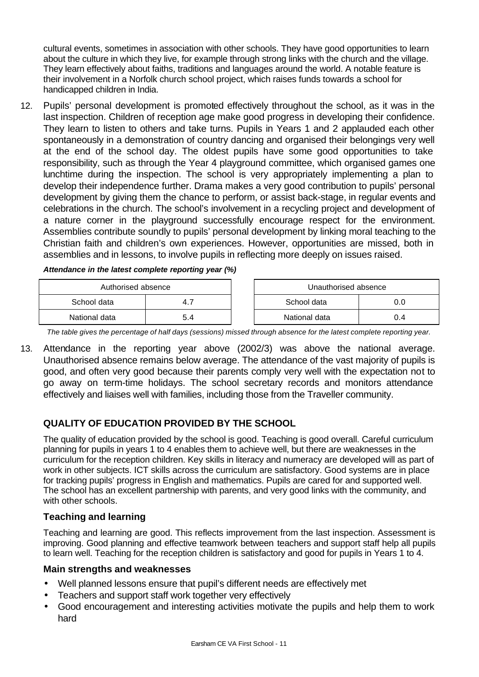cultural events, sometimes in association with other schools. They have good opportunities to learn about the culture in which they live, for example through strong links with the church and the village. They learn effectively about faiths, traditions and languages around the world. A notable feature is their involvement in a Norfolk church school project, which raises funds towards a school for handicapped children in India.

12. Pupils' personal development is promoted effectively throughout the school, as it was in the last inspection. Children of reception age make good progress in developing their confidence. They learn to listen to others and take turns. Pupils in Years 1 and 2 applauded each other spontaneously in a demonstration of country dancing and organised their belongings very well at the end of the school day. The oldest pupils have some good opportunities to take responsibility, such as through the Year 4 playground committee, which organised games one lunchtime during the inspection. The school is very appropriately implementing a plan to develop their independence further. Drama makes a very good contribution to pupils' personal development by giving them the chance to perform, or assist back-stage, in regular events and celebrations in the church. The school's involvement in a recycling project and development of a nature corner in the playground successfully encourage respect for the environment. Assemblies contribute soundly to pupils' personal development by linking moral teaching to the Christian faith and children's own experiences. However, opportunities are missed, both in assemblies and in lessons, to involve pupils in reflecting more deeply on issues raised.

*Attendance in the latest complete reporting year (%)*

| Authorised absence |     | Unauthorised absence |     |
|--------------------|-----|----------------------|-----|
| School data        | 4   | School data          |     |
| National data      | 5.4 | National data        | J.4 |

*The table gives the percentage of half days (sessions) missed through absence for the latest complete reporting year.*

13. Attendance in the reporting year above (2002/3) was above the national average. Unauthorised absence remains below average. The attendance of the vast majority of pupils is good, and often very good because their parents comply very well with the expectation not to go away on term-time holidays. The school secretary records and monitors attendance effectively and liaises well with families, including those from the Traveller community.

## **QUALITY OF EDUCATION PROVIDED BY THE SCHOOL**

The quality of education provided by the school is good. Teaching is good overall. Careful curriculum planning for pupils in years 1 to 4 enables them to achieve well, but there are weaknesses in the curriculum for the reception children. Key skills in literacy and numeracy are developed will as part of work in other subjects. ICT skills across the curriculum are satisfactory. Good systems are in place for tracking pupils' progress in English and mathematics. Pupils are cared for and supported well. The school has an excellent partnership with parents, and very good links with the community, and with other schools.

### **Teaching and learning**

Teaching and learning are good. This reflects improvement from the last inspection. Assessment is improving. Good planning and effective teamwork between teachers and support staff help all pupils to learn well. Teaching for the reception children is satisfactory and good for pupils in Years 1 to 4.

### **Main strengths and weaknesses**

- Well planned lessons ensure that pupil's different needs are effectively met
- Teachers and support staff work together very effectively
- Good encouragement and interesting activities motivate the pupils and help them to work hard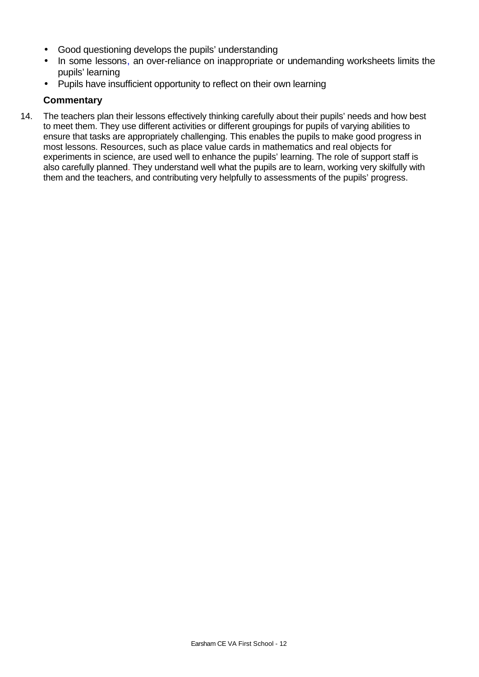- Good questioning develops the pupils' understanding
- In some lessons, an over-reliance on inappropriate or undemanding worksheets limits the pupils' learning
- Pupils have insufficient opportunity to reflect on their own learning

## **Commentary**

14. The teachers plan their lessons effectively thinking carefully about their pupils' needs and how best to meet them. They use different activities or different groupings for pupils of varying abilities to ensure that tasks are appropriately challenging. This enables the pupils to make good progress in most lessons. Resources, such as place value cards in mathematics and real objects for experiments in science, are used well to enhance the pupils' learning. The role of support staff is also carefully planned. They understand well what the pupils are to learn, working very skilfully with them and the teachers, and contributing very helpfully to assessments of the pupils' progress.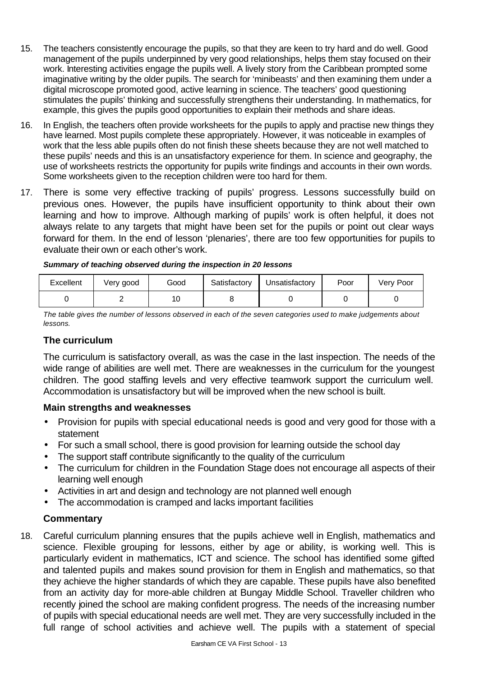- 15. The teachers consistently encourage the pupils, so that they are keen to try hard and do well. Good management of the pupils underpinned by very good relationships, helps them stay focused on their work. Interesting activities engage the pupils well. A lively story from the Caribbean prompted some imaginative writing by the older pupils. The search for 'minibeasts' and then examining them under a digital microscope promoted good, active learning in science. The teachers' good questioning stimulates the pupils' thinking and successfully strengthens their understanding. In mathematics, for example, this gives the pupils good opportunities to explain their methods and share ideas.
- 16. In English, the teachers often provide worksheets for the pupils to apply and practise new things they have learned. Most pupils complete these appropriately. However, it was noticeable in examples of work that the less able pupils often do not finish these sheets because they are not well matched to these pupils' needs and this is an unsatisfactory experience for them. In science and geography, the use of worksheets restricts the opportunity for pupils write findings and accounts in their own words. Some worksheets given to the reception children were too hard for them.
- 17. There is some very effective tracking of pupils' progress. Lessons successfully build on previous ones. However, the pupils have insufficient opportunity to think about their own learning and how to improve. Although marking of pupils' work is often helpful, it does not always relate to any targets that might have been set for the pupils or point out clear ways forward for them. In the end of lesson 'plenaries', there are too few opportunities for pupils to evaluate their own or each other's work.

| Excellent | Very good | Good | Satisfactory | Unsatisfactory | Poor | Very Poor |
|-----------|-----------|------|--------------|----------------|------|-----------|
|           |           | 10   |              |                |      |           |

*The table gives the number of lessons observed in each of the seven categories used to make judgements about lessons.*

### **The curriculum**

The curriculum is satisfactory overall, as was the case in the last inspection. The needs of the wide range of abilities are well met. There are weaknesses in the curriculum for the youngest children. The good staffing levels and very effective teamwork support the curriculum well. Accommodation is unsatisfactory but will be improved when the new school is built.

### **Main strengths and weaknesses**

- Provision for pupils with special educational needs is good and very good for those with a statement
- For such a small school, there is good provision for learning outside the school day
- The support staff contribute significantly to the quality of the curriculum
- The curriculum for children in the Foundation Stage does not encourage all aspects of their learning well enough
- Activities in art and design and technology are not planned well enough
- The accommodation is cramped and lacks important facilities

## **Commentary**

18. Careful curriculum planning ensures that the pupils achieve well in English, mathematics and science. Flexible grouping for lessons, either by age or ability, is working well. This is particularly evident in mathematics, ICT and science. The school has identified some gifted and talented pupils and makes sound provision for them in English and mathematics, so that they achieve the higher standards of which they are capable. These pupils have also benefited from an activity day for more-able children at Bungay Middle School. Traveller children who recently joined the school are making confident progress. The needs of the increasing number of pupils with special educational needs are well met. They are very successfully included in the full range of school activities and achieve well. The pupils with a statement of special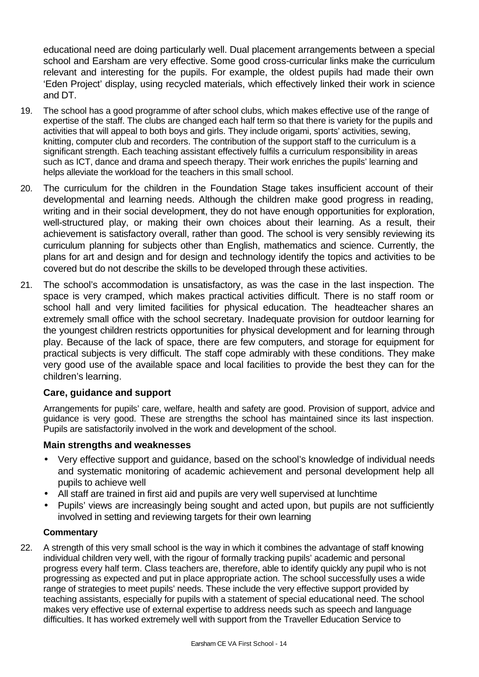educational need are doing particularly well. Dual placement arrangements between a special school and Earsham are very effective. Some good cross-curricular links make the curriculum relevant and interesting for the pupils. For example, the oldest pupils had made their own 'Eden Project' display, using recycled materials, which effectively linked their work in science and DT.

- 19. The school has a good programme of after school clubs, which makes effective use of the range of expertise of the staff. The clubs are changed each half term so that there is variety for the pupils and activities that will appeal to both boys and girls. They include origami, sports' activities, sewing, knitting, computer club and recorders. The contribution of the support staff to the curriculum is a significant strength. Each teaching assistant effectively fulfils a curriculum responsibility in areas such as ICT, dance and drama and speech therapy. Their work enriches the pupils' learning and helps alleviate the workload for the teachers in this small school.
- 20. The curriculum for the children in the Foundation Stage takes insufficient account of their developmental and learning needs. Although the children make good progress in reading, writing and in their social development, they do not have enough opportunities for exploration, well-structured play, or making their own choices about their learning. As a result, their achievement is satisfactory overall, rather than good. The school is very sensibly reviewing its curriculum planning for subjects other than English, mathematics and science. Currently, the plans for art and design and for design and technology identify the topics and activities to be covered but do not describe the skills to be developed through these activities.
- 21. The school's accommodation is unsatisfactory, as was the case in the last inspection. The space is very cramped, which makes practical activities difficult. There is no staff room or school hall and very limited facilities for physical education. The headteacher shares an extremely small office with the school secretary. Inadequate provision for outdoor learning for the youngest children restricts opportunities for physical development and for learning through play. Because of the lack of space, there are few computers, and storage for equipment for practical subjects is very difficult. The staff cope admirably with these conditions. They make very good use of the available space and local facilities to provide the best they can for the children's learning.

### **Care, guidance and support**

Arrangements for pupils' care, welfare, health and safety are good. Provision of support, advice and guidance is very good. These are strengths the school has maintained since its last inspection. Pupils are satisfactorily involved in the work and development of the school.

### **Main strengths and weaknesses**

- Very effective support and quidance, based on the school's knowledge of individual needs and systematic monitoring of academic achievement and personal development help all pupils to achieve well
- All staff are trained in first aid and pupils are very well supervised at lunchtime
- Pupils' views are increasingly being sought and acted upon, but pupils are not sufficiently involved in setting and reviewing targets for their own learning

#### **Commentary**

22. A strength of this very small school is the way in which it combines the advantage of staff knowing individual children very well, with the rigour of formally tracking pupils' academic and personal progress every half term. Class teachers are, therefore, able to identify quickly any pupil who is not progressing as expected and put in place appropriate action. The school successfully uses a wide range of strategies to meet pupils' needs. These include the very effective support provided by teaching assistants, especially for pupils with a statement of special educational need. The school makes very effective use of external expertise to address needs such as speech and language difficulties. It has worked extremely well with support from the Traveller Education Service to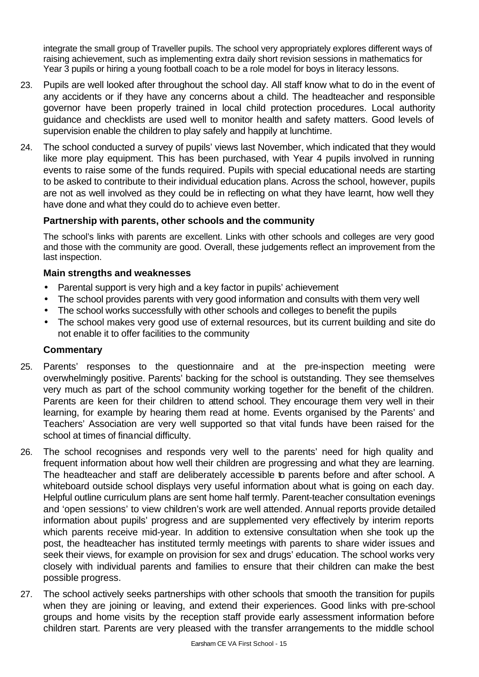integrate the small group of Traveller pupils. The school very appropriately explores different ways of raising achievement, such as implementing extra daily short revision sessions in mathematics for Year 3 pupils or hiring a young football coach to be a role model for boys in literacy lessons.

- 23. Pupils are well looked after throughout the school day. All staff know what to do in the event of any accidents or if they have any concerns about a child. The headteacher and responsible governor have been properly trained in local child protection procedures. Local authority guidance and checklists are used well to monitor health and safety matters. Good levels of supervision enable the children to play safely and happily at lunchtime.
- 24. The school conducted a survey of pupils' views last November, which indicated that they would like more play equipment. This has been purchased, with Year 4 pupils involved in running events to raise some of the funds required. Pupils with special educational needs are starting to be asked to contribute to their individual education plans. Across the school, however, pupils are not as well involved as they could be in reflecting on what they have learnt, how well they have done and what they could do to achieve even better.

## **Partnership with parents, other schools and the community**

The school's links with parents are excellent. Links with other schools and colleges are very good and those with the community are good. Overall, these judgements reflect an improvement from the last inspection.

### **Main strengths and weaknesses**

- Parental support is very high and a key factor in pupils' achievement
- The school provides parents with very good information and consults with them very well
- The school works successfully with other schools and colleges to benefit the pupils
- The school makes very good use of external resources, but its current building and site do not enable it to offer facilities to the community

- 25. Parents' responses to the questionnaire and at the pre-inspection meeting were overwhelmingly positive. Parents' backing for the school is outstanding. They see themselves very much as part of the school community working together for the benefit of the children. Parents are keen for their children to attend school. They encourage them very well in their learning, for example by hearing them read at home. Events organised by the Parents' and Teachers' Association are very well supported so that vital funds have been raised for the school at times of financial difficulty.
- 26. The school recognises and responds very well to the parents' need for high quality and frequent information about how well their children are progressing and what they are learning. The headteacher and staff are deliberately accessible to parents before and after school. A whiteboard outside school displays very useful information about what is going on each day. Helpful outline curriculum plans are sent home half termly. Parent-teacher consultation evenings and 'open sessions' to view children's work are well attended. Annual reports provide detailed information about pupils' progress and are supplemented very effectively by interim reports which parents receive mid-year. In addition to extensive consultation when she took up the post, the headteacher has instituted termly meetings with parents to share wider issues and seek their views, for example on provision for sex and drugs' education. The school works very closely with individual parents and families to ensure that their children can make the best possible progress.
- 27. The school actively seeks partnerships with other schools that smooth the transition for pupils when they are joining or leaving, and extend their experiences. Good links with pre-school groups and home visits by the reception staff provide early assessment information before children start. Parents are very pleased with the transfer arrangements to the middle school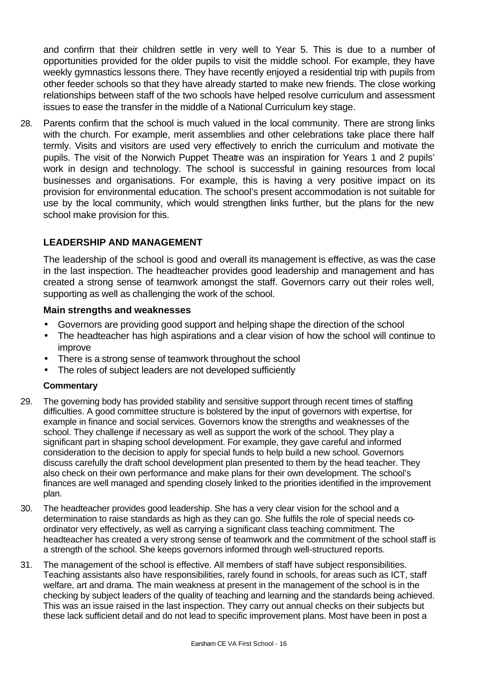and confirm that their children settle in very well to Year 5. This is due to a number of opportunities provided for the older pupils to visit the middle school. For example, they have weekly gymnastics lessons there. They have recently enjoyed a residential trip with pupils from other feeder schools so that they have already started to make new friends. The close working relationships between staff of the two schools have helped resolve curriculum and assessment issues to ease the transfer in the middle of a National Curriculum key stage.

28. Parents confirm that the school is much valued in the local community. There are strong links with the church. For example, merit assemblies and other celebrations take place there half termly. Visits and visitors are used very effectively to enrich the curriculum and motivate the pupils. The visit of the Norwich Puppet Theatre was an inspiration for Years 1 and 2 pupils' work in design and technology. The school is successful in gaining resources from local businesses and organisations. For example, this is having a very positive impact on its provision for environmental education. The school's present accommodation is not suitable for use by the local community, which would strengthen links further, but the plans for the new school make provision for this.

## **LEADERSHIP AND MANAGEMENT**

The leadership of the school is good and overall its management is effective, as was the case in the last inspection. The headteacher provides good leadership and management and has created a strong sense of teamwork amongst the staff. Governors carry out their roles well, supporting as well as challenging the work of the school.

#### **Main strengths and weaknesses**

- Governors are providing good support and helping shape the direction of the school
- The headteacher has high aspirations and a clear vision of how the school will continue to improve
- There is a strong sense of teamwork throughout the school
- The roles of subject leaders are not developed sufficiently

- 29. The governing body has provided stability and sensitive support through recent times of staffing difficulties. A good committee structure is bolstered by the input of governors with expertise, for example in finance and social services. Governors know the strengths and weaknesses of the school. They challenge if necessary as well as support the work of the school. They play a significant part in shaping school development. For example, they gave careful and informed consideration to the decision to apply for special funds to help build a new school. Governors discuss carefully the draft school development plan presented to them by the head teacher. They also check on their own performance and make plans for their own development. The school's finances are well managed and spending closely linked to the priorities identified in the improvement plan.
- 30. The headteacher provides good leadership. She has a very clear vision for the school and a determination to raise standards as high as they can go. She fulfils the role of special needs coordinator very effectively, as well as carrying a significant class teaching commitment. The headteacher has created a very strong sense of teamwork and the commitment of the school staff is a strength of the school. She keeps governors informed through well-structured reports.
- 31. The management of the school is effective. All members of staff have subject responsibilities. Teaching assistants also have responsibilities, rarely found in schools, for areas such as ICT, staff welfare, art and drama. The main weakness at present in the management of the school is in the checking by subject leaders of the quality of teaching and learning and the standards being achieved. This was an issue raised in the last inspection. They carry out annual checks on their subjects but these lack sufficient detail and do not lead to specific improvement plans. Most have been in post a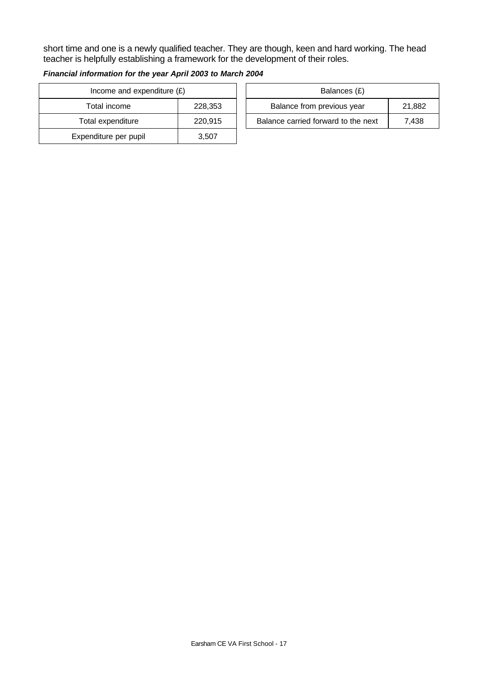short time and one is a newly qualified teacher. They are though, keen and hard working. The head teacher is helpfully establishing a framework for the development of their roles.

| Income and expenditure $(E)$ |         |  | Balances (£)                   |
|------------------------------|---------|--|--------------------------------|
| Total income                 | 228,353 |  | Balance from previous year     |
| Total expenditure            | 220,915 |  | Balance carried forward to the |
| Expenditure per pupil        | 3,507   |  |                                |

| Financial information for the year April 2003 to March 2004 |  |
|-------------------------------------------------------------|--|
|-------------------------------------------------------------|--|

| Income and expenditure $(E)$ |         | Balances (£)                        |        |
|------------------------------|---------|-------------------------------------|--------|
| Total income                 | 228,353 | Balance from previous year          | 21,882 |
| Total expenditure            | 220,915 | Balance carried forward to the next | 7.438  |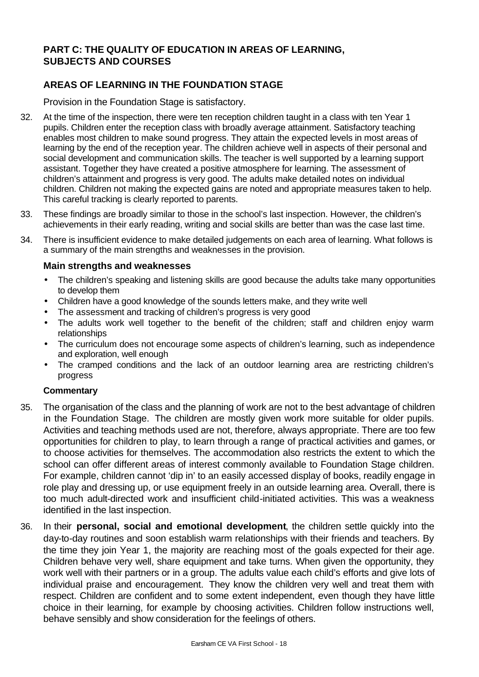## **PART C: THE QUALITY OF EDUCATION IN AREAS OF LEARNING, SUBJECTS AND COURSES**

## **AREAS OF LEARNING IN THE FOUNDATION STAGE**

Provision in the Foundation Stage is satisfactory.

- 32. At the time of the inspection, there were ten reception children taught in a class with ten Year 1 pupils. Children enter the reception class with broadly average attainment. Satisfactory teaching enables most children to make sound progress. They attain the expected levels in most areas of learning by the end of the reception year. The children achieve well in aspects of their personal and social development and communication skills. The teacher is well supported by a learning support assistant. Together they have created a positive atmosphere for learning. The assessment of children's attainment and progress is very good. The adults make detailed notes on individual children. Children not making the expected gains are noted and appropriate measures taken to help. This careful tracking is clearly reported to parents.
- 33. These findings are broadly similar to those in the school's last inspection. However, the children's achievements in their early reading, writing and social skills are better than was the case last time.
- 34. There is insufficient evidence to make detailed judgements on each area of learning. What follows is a summary of the main strengths and weaknesses in the provision.

#### **Main strengths and weaknesses**

- The children's speaking and listening skills are good because the adults take many opportunities to develop them
- Children have a good knowledge of the sounds letters make, and they write well
- The assessment and tracking of children's progress is very good
- The adults work well together to the benefit of the children; staff and children enjoy warm relationships
- The curriculum does not encourage some aspects of children's learning, such as independence and exploration, well enough
- The cramped conditions and the lack of an outdoor learning area are restricting children's progress

- 35. The organisation of the class and the planning of work are not to the best advantage of children in the Foundation Stage. The children are mostly given work more suitable for older pupils. Activities and teaching methods used are not, therefore, always appropriate. There are too few opportunities for children to play, to learn through a range of practical activities and games, or to choose activities for themselves. The accommodation also restricts the extent to which the school can offer different areas of interest commonly available to Foundation Stage children. For example, children cannot 'dip in' to an easily accessed display of books, readily engage in role play and dressing up, or use equipment freely in an outside learning area. Overall, there is too much adult-directed work and insufficient child-initiated activities. This was a weakness identified in the last inspection.
- 36. In their **personal, social and emotional development**, the children settle quickly into the day-to-day routines and soon establish warm relationships with their friends and teachers. By the time they join Year 1, the majority are reaching most of the goals expected for their age. Children behave very well, share equipment and take turns. When given the opportunity, they work well with their partners or in a group. The adults value each child's efforts and give lots of individual praise and encouragement. They know the children very well and treat them with respect. Children are confident and to some extent independent, even though they have little choice in their learning, for example by choosing activities. Children follow instructions well, behave sensibly and show consideration for the feelings of others.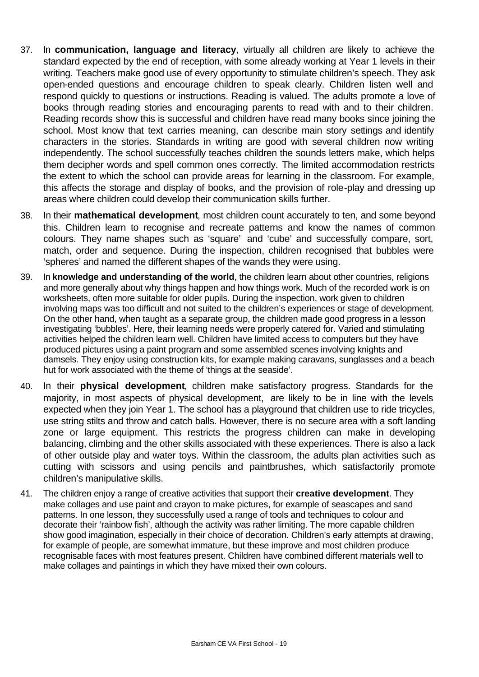- 37. In **communication, language and literacy**, virtually all children are likely to achieve the standard expected by the end of reception, with some already working at Year 1 levels in their writing. Teachers make good use of every opportunity to stimulate children's speech. They ask open-ended questions and encourage children to speak clearly. Children listen well and respond quickly to questions or instructions. Reading is valued. The adults promote a love of books through reading stories and encouraging parents to read with and to their children. Reading records show this is successful and children have read many books since joining the school. Most know that text carries meaning, can describe main story settings and identify characters in the stories. Standards in writing are good with several children now writing independently. The school successfully teaches children the sounds letters make, which helps them decipher words and spell common ones correctly. The limited accommodation restricts the extent to which the school can provide areas for learning in the classroom. For example, this affects the storage and display of books, and the provision of role-play and dressing up areas where children could develop their communication skills further.
- 38. In their **mathematical development**, most children count accurately to ten, and some beyond this. Children learn to recognise and recreate patterns and know the names of common colours. They name shapes such as 'square' and 'cube' and successfully compare, sort, match, order and sequence. During the inspection, children recognised that bubbles were 'spheres' and named the different shapes of the wands they were using.
- 39. In **knowledge and understanding of the world**, the children learn about other countries, religions and more generally about why things happen and how things work. Much of the recorded work is on worksheets, often more suitable for older pupils. During the inspection, work given to children involving maps was too difficult and not suited to the children's experiences or stage of development. On the other hand, when taught as a separate group, the children made good progress in a lesson investigating 'bubbles'. Here, their learning needs were properly catered for. Varied and stimulating activities helped the children learn well. Children have limited access to computers but they have produced pictures using a paint program and some assembled scenes involving knights and damsels. They enjoy using construction kits, for example making caravans, sunglasses and a beach hut for work associated with the theme of 'things at the seaside'.
- 40. In their **physical development**, children make satisfactory progress. Standards for the majority, in most aspects of physical development, are likely to be in line with the levels expected when they join Year 1. The school has a playground that children use to ride tricycles, use string stilts and throw and catch balls. However, there is no secure area with a soft landing zone or large equipment. This restricts the progress children can make in developing balancing, climbing and the other skills associated with these experiences. There is also a lack of other outside play and water toys. Within the classroom, the adults plan activities such as cutting with scissors and using pencils and paintbrushes, which satisfactorily promote children's manipulative skills.
- 41. The children enjoy a range of creative activities that support their **creative development**. They make collages and use paint and crayon to make pictures, for example of seascapes and sand patterns. In one lesson, they successfully used a range of tools and techniques to colour and decorate their 'rainbow fish', although the activity was rather limiting. The more capable children show good imagination, especially in their choice of decoration. Children's early attempts at drawing, for example of people, are somewhat immature, but these improve and most children produce recognisable faces with most features present. Children have combined different materials well to make collages and paintings in which they have mixed their own colours.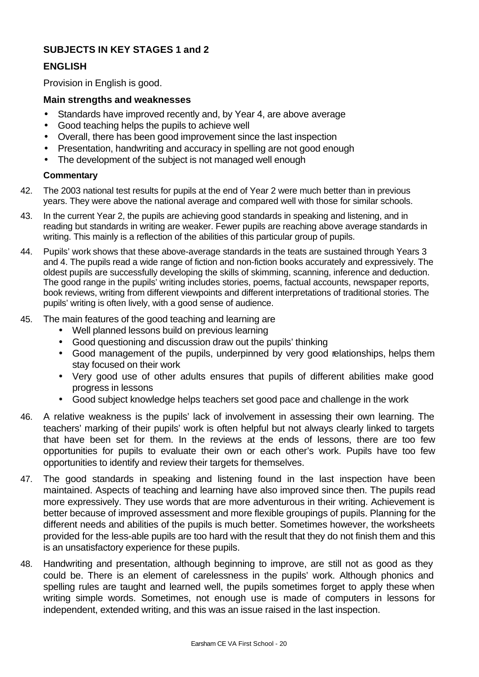## **SUBJECTS IN KEY STAGES 1 and 2**

## **ENGLISH**

Provision in English is good.

#### **Main strengths and weaknesses**

- Standards have improved recently and, by Year 4, are above average
- Good teaching helps the pupils to achieve well
- Overall, there has been good improvement since the last inspection
- Presentation, handwriting and accuracy in spelling are not good enough
- The development of the subject is not managed well enough

- 42. The 2003 national test results for pupils at the end of Year 2 were much better than in previous years. They were above the national average and compared well with those for similar schools.
- 43. In the current Year 2, the pupils are achieving good standards in speaking and listening, and in reading but standards in writing are weaker. Fewer pupils are reaching above average standards in writing. This mainly is a reflection of the abilities of this particular group of pupils.
- 44. Pupils' work shows that these above-average standards in the teats are sustained through Years 3 and 4. The pupils read a wide range of fiction and non-fiction books accurately and expressively. The oldest pupils are successfully developing the skills of skimming, scanning, inference and deduction. The good range in the pupils' writing includes stories, poems, factual accounts, newspaper reports, book reviews, writing from different viewpoints and different interpretations of traditional stories. The pupils' writing is often lively, with a good sense of audience.
- 45. The main features of the good teaching and learning are
	- Well planned lessons build on previous learning
	- Good questioning and discussion draw out the pupils' thinking
	- Good management of the pupils, underpinned by very good relationships, helps them stay focused on their work
	- Very good use of other adults ensures that pupils of different abilities make good progress in lessons
	- Good subject knowledge helps teachers set good pace and challenge in the work
- 46. A relative weakness is the pupils' lack of involvement in assessing their own learning. The teachers' marking of their pupils' work is often helpful but not always clearly linked to targets that have been set for them. In the reviews at the ends of lessons, there are too few opportunities for pupils to evaluate their own or each other's work. Pupils have too few opportunities to identify and review their targets for themselves.
- 47. The good standards in speaking and listening found in the last inspection have been maintained. Aspects of teaching and learning have also improved since then. The pupils read more expressively. They use words that are more adventurous in their writing. Achievement is better because of improved assessment and more flexible groupings of pupils. Planning for the different needs and abilities of the pupils is much better. Sometimes however, the worksheets provided for the less-able pupils are too hard with the result that they do not finish them and this is an unsatisfactory experience for these pupils.
- 48. Handwriting and presentation, although beginning to improve, are still not as good as they could be. There is an element of carelessness in the pupils' work. Although phonics and spelling rules are taught and learned well, the pupils sometimes forget to apply these when writing simple words. Sometimes, not enough use is made of computers in lessons for independent, extended writing, and this was an issue raised in the last inspection.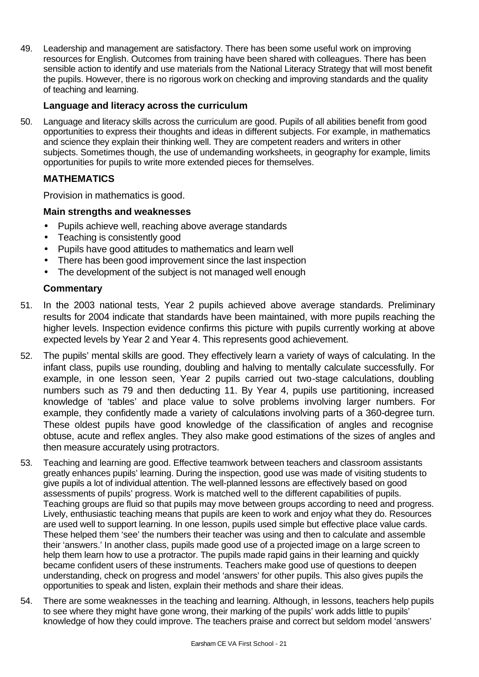49. Leadership and management are satisfactory. There has been some useful work on improving resources for English. Outcomes from training have been shared with colleagues. There has been sensible action to identify and use materials from the National Literacy Strategy that will most benefit the pupils. However, there is no rigorous work on checking and improving standards and the quality of teaching and learning.

### **Language and literacy across the curriculum**

50. Language and literacy skills across the curriculum are good. Pupils of all abilities benefit from good opportunities to express their thoughts and ideas in different subjects. For example, in mathematics and science they explain their thinking well. They are competent readers and writers in other subjects. Sometimes though, the use of undemanding worksheets, in geography for example, limits opportunities for pupils to write more extended pieces for themselves.

## **MATHEMATICS**

Provision in mathematics is good.

#### **Main strengths and weaknesses**

- Pupils achieve well, reaching above average standards
- Teaching is consistently good
- Pupils have good attitudes to mathematics and learn well
- There has been good improvement since the last inspection
- The development of the subject is not managed well enough

- 51. In the 2003 national tests, Year 2 pupils achieved above average standards. Preliminary results for 2004 indicate that standards have been maintained, with more pupils reaching the higher levels. Inspection evidence confirms this picture with pupils currently working at above expected levels by Year 2 and Year 4. This represents good achievement.
- 52. The pupils' mental skills are good. They effectively learn a variety of ways of calculating. In the infant class, pupils use rounding, doubling and halving to mentally calculate successfully. For example, in one lesson seen, Year 2 pupils carried out two-stage calculations, doubling numbers such as 79 and then deducting 11. By Year 4, pupils use partitioning, increased knowledge of 'tables' and place value to solve problems involving larger numbers. For example, they confidently made a variety of calculations involving parts of a 360-degree turn. These oldest pupils have good knowledge of the classification of angles and recognise obtuse, acute and reflex angles. They also make good estimations of the sizes of angles and then measure accurately using protractors.
- 53. Teaching and learning are good. Effective teamwork between teachers and classroom assistants greatly enhances pupils' learning. During the inspection, good use was made of visiting students to give pupils a lot of individual attention. The well-planned lessons are effectively based on good assessments of pupils' progress. Work is matched well to the different capabilities of pupils. Teaching groups are fluid so that pupils may move between groups according to need and progress. Lively, enthusiastic teaching means that pupils are keen to work and enjoy what they do. Resources are used well to support learning. In one lesson, pupils used simple but effective place value cards. These helped them 'see' the numbers their teacher was using and then to calculate and assemble their 'answers.' In another class, pupils made good use of a projected image on a large screen to help them learn how to use a protractor. The pupils made rapid gains in their learning and quickly became confident users of these instruments. Teachers make good use of questions to deepen understanding, check on progress and model 'answers' for other pupils. This also gives pupils the opportunities to speak and listen, explain their methods and share their ideas.
- 54. There are some weaknesses in the teaching and learning. Although, in lessons, teachers help pupils to see where they might have gone wrong, their marking of the pupils' work adds little to pupils' knowledge of how they could improve. The teachers praise and correct but seldom model 'answers'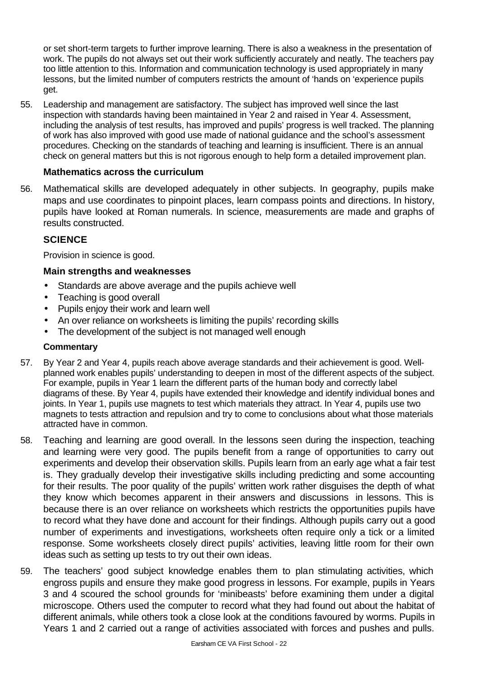or set short-term targets to further improve learning. There is also a weakness in the presentation of work. The pupils do not always set out their work sufficiently accurately and neatly. The teachers pay too little attention to this. Information and communication technology is used appropriately in many lessons, but the limited number of computers restricts the amount of 'hands on 'experience pupils get.

55. Leadership and management are satisfactory. The subject has improved well since the last inspection with standards having been maintained in Year 2 and raised in Year 4. Assessment, including the analysis of test results, has improved and pupils' progress is well tracked. The planning of work has also improved with good use made of national guidance and the school's assessment procedures. Checking on the standards of teaching and learning is insufficient. There is an annual check on general matters but this is not rigorous enough to help form a detailed improvement plan.

### **Mathematics across the curriculum**

56. Mathematical skills are developed adequately in other subjects. In geography, pupils make maps and use coordinates to pinpoint places, learn compass points and directions. In history, pupils have looked at Roman numerals. In science, measurements are made and graphs of results constructed.

## **SCIENCE**

Provision in science is good.

### **Main strengths and weaknesses**

- Standards are above average and the pupils achieve well
- Teaching is good overall
- Pupils enjoy their work and learn well
- An over reliance on worksheets is limiting the pupils' recording skills
- The development of the subject is not managed well enough

- 57. By Year 2 and Year 4, pupils reach above average standards and their achievement is good. Wellplanned work enables pupils' understanding to deepen in most of the different aspects of the subject. For example, pupils in Year 1 learn the different parts of the human body and correctly label diagrams of these. By Year 4, pupils have extended their knowledge and identify individual bones and joints. In Year 1, pupils use magnets to test which materials they attract. In Year 4, pupils use two magnets to tests attraction and repulsion and try to come to conclusions about what those materials attracted have in common.
- 58. Teaching and learning are good overall. In the lessons seen during the inspection, teaching and learning were very good. The pupils benefit from a range of opportunities to carry out experiments and develop their observation skills. Pupils learn from an early age what a fair test is. They gradually develop their investigative skills including predicting and some accounting for their results. The poor quality of the pupils' written work rather disguises the depth of what they know which becomes apparent in their answers and discussions in lessons. This is because there is an over reliance on worksheets which restricts the opportunities pupils have to record what they have done and account for their findings. Although pupils carry out a good number of experiments and investigations, worksheets often require only a tick or a limited response. Some worksheets closely direct pupils' activities, leaving little room for their own ideas such as setting up tests to try out their own ideas.
- 59. The teachers' good subject knowledge enables them to plan stimulating activities, which engross pupils and ensure they make good progress in lessons. For example, pupils in Years 3 and 4 scoured the school grounds for 'minibeasts' before examining them under a digital microscope. Others used the computer to record what they had found out about the habitat of different animals, while others took a close look at the conditions favoured by worms. Pupils in Years 1 and 2 carried out a range of activities associated with forces and pushes and pulls.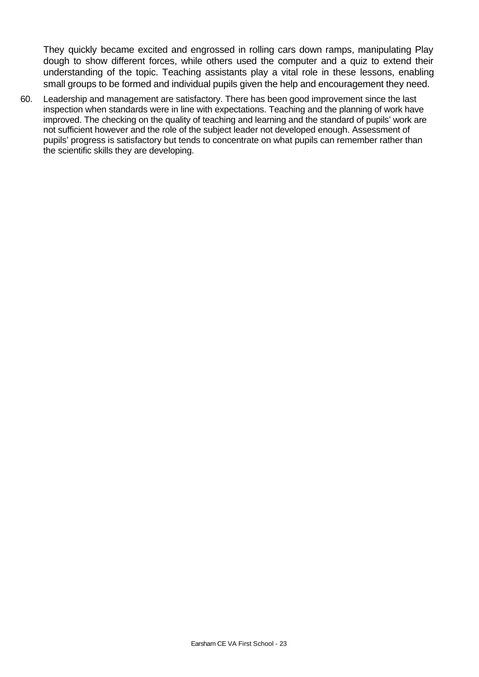They quickly became excited and engrossed in rolling cars down ramps, manipulating Play dough to show different forces, while others used the computer and a quiz to extend their understanding of the topic. Teaching assistants play a vital role in these lessons, enabling small groups to be formed and individual pupils given the help and encouragement they need.

60. Leadership and management are satisfactory. There has been good improvement since the last inspection when standards were in line with expectations. Teaching and the planning of work have improved. The checking on the quality of teaching and learning and the standard of pupils' work are not sufficient however and the role of the subject leader not developed enough. Assessment of pupils' progress is satisfactory but tends to concentrate on what pupils can remember rather than the scientific skills they are developing.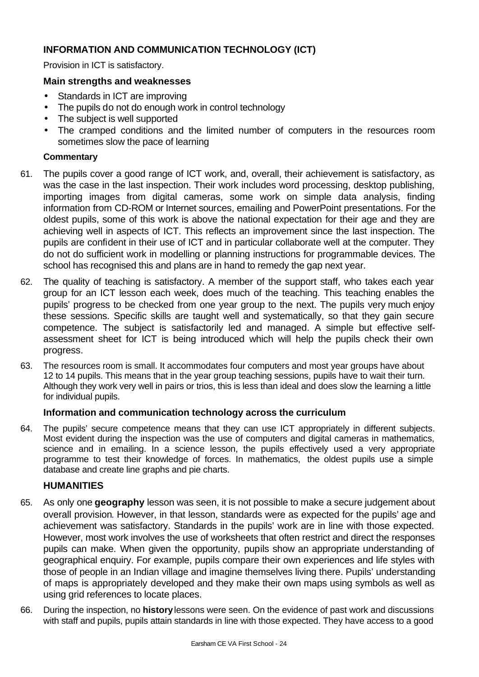## **INFORMATION AND COMMUNICATION TECHNOLOGY (ICT)**

Provision in ICT is satisfactory.

#### **Main strengths and weaknesses**

- Standards in ICT are improving
- The pupils do not do enough work in control technology
- The subject is well supported
- The cramped conditions and the limited number of computers in the resources room sometimes slow the pace of learning

#### **Commentary**

- 61. The pupils cover a good range of ICT work, and, overall, their achievement is satisfactory, as was the case in the last inspection. Their work includes word processing, desktop publishing, importing images from digital cameras, some work on simple data analysis, finding information from CD-ROM or Internet sources, emailing and PowerPoint presentations. For the oldest pupils, some of this work is above the national expectation for their age and they are achieving well in aspects of ICT. This reflects an improvement since the last inspection. The pupils are confident in their use of ICT and in particular collaborate well at the computer. They do not do sufficient work in modelling or planning instructions for programmable devices. The school has recognised this and plans are in hand to remedy the gap next year.
- 62. The quality of teaching is satisfactory. A member of the support staff, who takes each year group for an ICT lesson each week, does much of the teaching. This teaching enables the pupils' progress to be checked from one year group to the next. The pupils very much enjoy these sessions. Specific skills are taught well and systematically, so that they gain secure competence. The subject is satisfactorily led and managed. A simple but effective selfassessment sheet for ICT is being introduced which will help the pupils check their own progress.
- 63. The resources room is small. It accommodates four computers and most year groups have about 12 to 14 pupils. This means that in the year group teaching sessions, pupils have to wait their turn. Although they work very well in pairs or trios, this is less than ideal and does slow the learning a little for individual pupils.

#### **Information and communication technology across the curriculum**

64. The pupils' secure competence means that they can use ICT appropriately in different subjects. Most evident during the inspection was the use of computers and digital cameras in mathematics, science and in emailing. In a science lesson, the pupils effectively used a very appropriate programme to test their knowledge of forces. In mathematics, the oldest pupils use a simple database and create line graphs and pie charts.

#### **HUMANITIES**

- 65. As only one **geography** lesson was seen, it is not possible to make a secure judgement about overall provision. However, in that lesson, standards were as expected for the pupils' age and achievement was satisfactory. Standards in the pupils' work are in line with those expected. However, most work involves the use of worksheets that often restrict and direct the responses pupils can make. When given the opportunity, pupils show an appropriate understanding of geographical enquiry. For example, pupils compare their own experiences and life styles with those of people in an Indian village and imagine themselves living there. Pupils' understanding of maps is appropriately developed and they make their own maps using symbols as well as using grid references to locate places.
- 66. During the inspection, no **history** lessons were seen. On the evidence of past work and discussions with staff and pupils, pupils attain standards in line with those expected. They have access to a good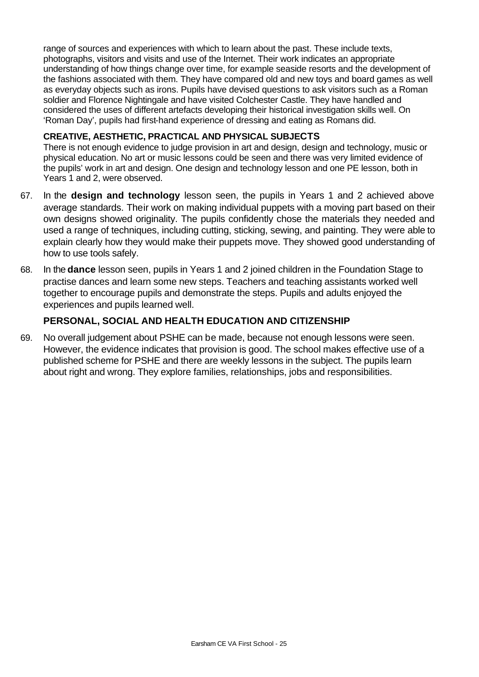range of sources and experiences with which to learn about the past. These include texts, photographs, visitors and visits and use of the Internet. Their work indicates an appropriate understanding of how things change over time, for example seaside resorts and the development of the fashions associated with them. They have compared old and new toys and board games as well as everyday objects such as irons. Pupils have devised questions to ask visitors such as a Roman soldier and Florence Nightingale and have visited Colchester Castle. They have handled and considered the uses of different artefacts developing their historical investigation skills well. On 'Roman Day', pupils had first-hand experience of dressing and eating as Romans did.

#### **CREATIVE, AESTHETIC, PRACTICAL AND PHYSICAL SUBJECTS**

There is not enough evidence to judge provision in art and design, design and technology, music or physical education. No art or music lessons could be seen and there was very limited evidence of the pupils' work in art and design. One design and technology lesson and one PE lesson, both in Years 1 and 2, were observed.

- 67. In the **design and technology** lesson seen, the pupils in Years 1 and 2 achieved above average standards. Their work on making individual puppets with a moving part based on their own designs showed originality. The pupils confidently chose the materials they needed and used a range of techniques, including cutting, sticking, sewing, and painting. They were able to explain clearly how they would make their puppets move. They showed good understanding of how to use tools safely.
- 68. In the **dance** lesson seen, pupils in Years 1 and 2 joined children in the Foundation Stage to practise dances and learn some new steps. Teachers and teaching assistants worked well together to encourage pupils and demonstrate the steps. Pupils and adults enjoyed the experiences and pupils learned well.

## **PERSONAL, SOCIAL AND HEALTH EDUCATION AND CITIZENSHIP**

69. No overall judgement about PSHE can be made, because not enough lessons were seen. However, the evidence indicates that provision is good. The school makes effective use of a published scheme for PSHE and there are weekly lessons in the subject. The pupils learn about right and wrong. They explore families, relationships, jobs and responsibilities.